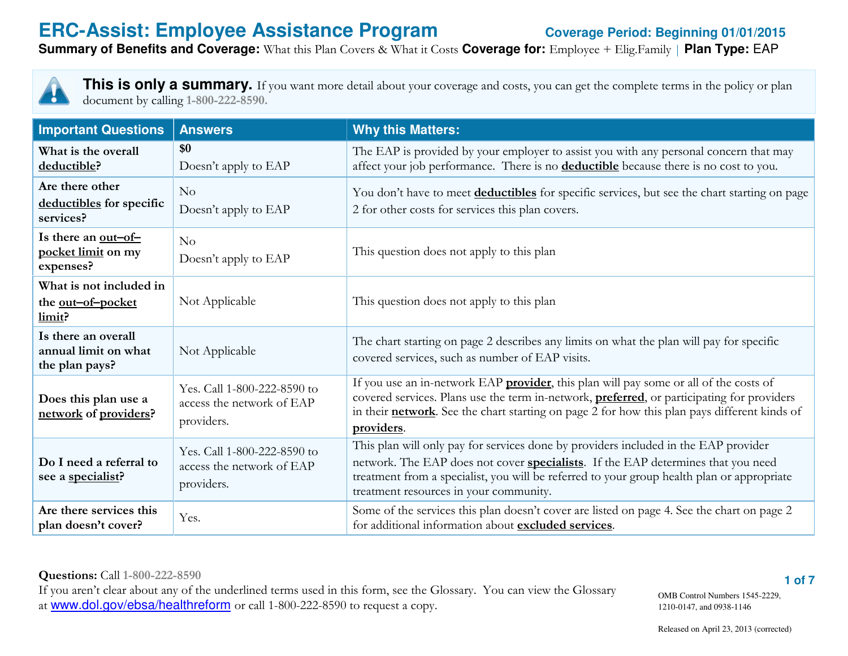**Summary of Benefits and Coverage:** What this Plan Covers & What it Costs **Coverage for:** Employee + Elig.Family | **Plan Type:** EAP

This is only a summary. If you want more detail about your coverage and costs, you can get the complete terms in the policy or plan document by calling 1-800-222-8590.

| <b>Important Questions</b>                                    | <b>Answers</b>                                                         | <b>Why this Matters:</b>                                                                                                                                                                                                                                                                                                |
|---------------------------------------------------------------|------------------------------------------------------------------------|-------------------------------------------------------------------------------------------------------------------------------------------------------------------------------------------------------------------------------------------------------------------------------------------------------------------------|
| What is the overall<br>deductible?                            | \$0<br>Doesn't apply to EAP                                            | The EAP is provided by your employer to assist you with any personal concern that may<br>affect your job performance. There is no <b>deductible</b> because there is no cost to you.                                                                                                                                    |
| Are there other<br>deductibles for specific<br>services?      | No<br>Doesn't apply to EAP                                             | You don't have to meet deductibles for specific services, but see the chart starting on page<br>2 for other costs for services this plan covers.                                                                                                                                                                        |
| Is there an out-of-<br>pocket limit on my<br>expenses?        | No<br>Doesn't apply to EAP                                             | This question does not apply to this plan                                                                                                                                                                                                                                                                               |
| What is not included in<br>the out-of-pocket<br>limit?        | Not Applicable                                                         | This question does not apply to this plan                                                                                                                                                                                                                                                                               |
| Is there an overall<br>annual limit on what<br>the plan pays? | Not Applicable                                                         | The chart starting on page 2 describes any limits on what the plan will pay for specific<br>covered services, such as number of EAP visits.                                                                                                                                                                             |
| Does this plan use a<br>network of providers?                 | Yes. Call 1-800-222-8590 to<br>access the network of EAP<br>providers. | If you use an in-network EAP provider, this plan will pay some or all of the costs of<br>covered services. Plans use the term in-network, preferred, or participating for providers<br>in their <b>network</b> . See the chart starting on page 2 for how this plan pays different kinds of<br>providers.               |
| Do I need a referral to<br>see a specialist?                  | Yes. Call 1-800-222-8590 to<br>access the network of EAP<br>providers. | This plan will only pay for services done by providers included in the EAP provider<br>network. The EAP does not cover <b>specialists</b> . If the EAP determines that you need<br>treatment from a specialist, you will be referred to your group health plan or appropriate<br>treatment resources in your community. |
| Are there services this<br>plan doesn't cover?                | Yes.                                                                   | Some of the services this plan doesn't cover are listed on page 4. See the chart on page 2<br>for additional information about excluded services.                                                                                                                                                                       |

Questions: Call 1-800-222-8590

 If you aren't clear about any of the underlined terms used in this form, see the Glossary. You can view the Glossary at www.dol.gov/ebsa/healthreform or call 1-800-222-8590 to request a copy.

OMB Control Numbers 1545-2229, 1210-0147, and 0938-1146

**1 of 7**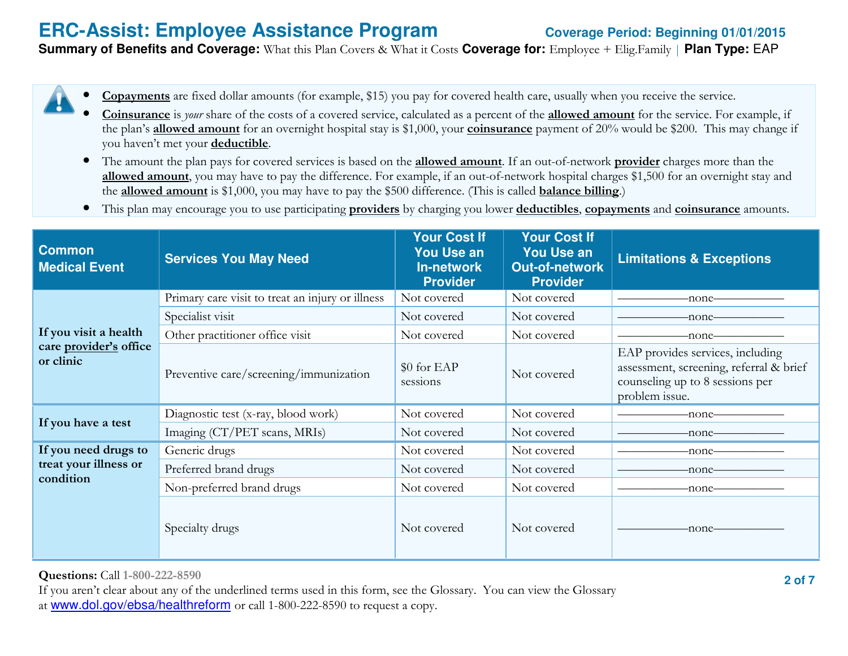**Summary of Benefits and Coverage:** What this Plan Covers & What it Costs **Coverage for:** Employee + Elig.Family | **Plan Type:** EAP

- •Copayments are fixed dollar amounts (for example, \$15) you pay for covered health care, usually when you receive the service.
- •Coinsurance is *your* share of the costs of a covered service, calculated as a percent of the **allowed amount** for the service. For example, if the plan's **allowed amount** for an overnight hospital stay is \$1,000, your **coinsurance** payment of 20% would be \$200. This may change if you haven't met your deductible.
- The amount the plan pays for covered services is based on the **allowed amount**. If an out-of-network **provider** charges more than the allowed amount, you may have to pay the difference. For example, if an out-of-network hospital charges \$1,500 for an overnight stay and the **allowed amount** is \$1,000, you may have to pay the \$500 difference. (This is called **balance billing**.)
- $\bullet$ This plan may encourage you to use participating **providers** by charging you lower **deductibles**, **copayments** and **coinsurance** amounts.

| <b>Common</b><br><b>Medical Event</b> | <b>Services You May Need</b>                     | <b>Your Cost If</b><br><b>You Use an</b><br><b>In-network</b><br><b>Provider</b> | <b>Your Cost If</b><br><b>You Use an</b><br><b>Out-of-network</b><br><b>Provider</b> | <b>Limitations &amp; Exceptions</b>                                                                                              |
|---------------------------------------|--------------------------------------------------|----------------------------------------------------------------------------------|--------------------------------------------------------------------------------------|----------------------------------------------------------------------------------------------------------------------------------|
|                                       | Primary care visit to treat an injury or illness | Not covered                                                                      | Not covered                                                                          | -none-                                                                                                                           |
|                                       | Specialist visit                                 | Not covered                                                                      | Not covered                                                                          | -none-                                                                                                                           |
| If you visit a health                 | Other practitioner office visit                  | Not covered                                                                      | Not covered                                                                          | -none-                                                                                                                           |
| care provider's office<br>or clinic   | Preventive care/screening/immunization           | \$0 for EAP<br>sessions                                                          | Not covered                                                                          | EAP provides services, including<br>assessment, screening, referral & brief<br>counseling up to 8 sessions per<br>problem issue. |
|                                       | Diagnostic test (x-ray, blood work)              | Not covered                                                                      | Not covered                                                                          | -none-                                                                                                                           |
| If you have a test                    | Imaging (CT/PET scans, MRIs)                     | Not covered                                                                      | Not covered                                                                          | -none-                                                                                                                           |
| If you need drugs to                  | Generic drugs                                    | Not covered                                                                      | Not covered                                                                          | -none–                                                                                                                           |
| treat your illness or                 | Preferred brand drugs                            | Not covered                                                                      | Not covered                                                                          | -none-                                                                                                                           |
| condition                             | Non-preferred brand drugs                        | Not covered                                                                      | Not covered                                                                          | -none-                                                                                                                           |
|                                       | Specialty drugs                                  | Not covered                                                                      | Not covered                                                                          | -none-                                                                                                                           |

Questions: Call 1-800-222-8590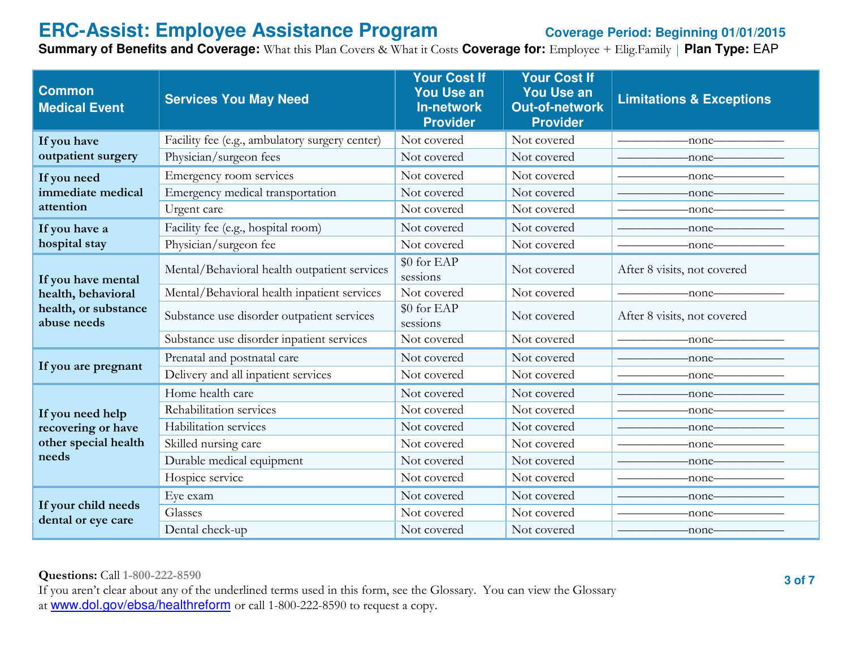**Summary of Benefits and Coverage:** What this Plan Covers & What it Costs **Coverage for:** Employee + Elig.Family | **Plan Type:** EAP

| <b>Common</b><br><b>Medical Event</b>     | <b>Services You May Need</b>                   | <b>Your Cost If</b><br><b>You Use an</b><br><b>In-network</b><br><b>Provider</b> | <b>Your Cost If</b><br><b>You Use an</b><br><b>Out-of-network</b><br><b>Provider</b> | <b>Limitations &amp; Exceptions</b>                     |
|-------------------------------------------|------------------------------------------------|----------------------------------------------------------------------------------|--------------------------------------------------------------------------------------|---------------------------------------------------------|
| If you have                               | Facility fee (e.g., ambulatory surgery center) | Not covered                                                                      | Not covered                                                                          | $-$ none $-$                                            |
| outpatient surgery                        | Physician/surgeon fees                         | Not covered                                                                      | Not covered                                                                          | $-$ none $-$                                            |
| If you need                               | Emergency room services                        | Not covered                                                                      | Not covered                                                                          | $-$ none $-$                                            |
| immediate medical                         | Emergency medical transportation               | Not covered                                                                      | Not covered                                                                          |                                                         |
| attention                                 | Urgent care                                    | Not covered                                                                      | Not covered                                                                          | $-none$ ——                                              |
| If you have a                             | Facility fee (e.g., hospital room)             | Not covered                                                                      | Not covered                                                                          | $-none$                                                 |
| hospital stay                             | Physician/surgeon fee                          | Not covered                                                                      | Not covered                                                                          | $-$ none $-$                                            |
| If you have mental                        | Mental/Behavioral health outpatient services   | \$0 for EAP<br>sessions                                                          | Not covered                                                                          | After 8 visits, not covered                             |
| health, behavioral                        | Mental/Behavioral health inpatient services    | Not covered                                                                      | Not covered                                                                          | $-$ none $-$                                            |
| health, or substance<br>abuse needs       | Substance use disorder outpatient services     | \$0 for EAP<br>sessions                                                          | Not covered                                                                          | After 8 visits, not covered                             |
|                                           | Substance use disorder inpatient services      | Not covered                                                                      | Not covered                                                                          | $\longrightarrow$ none                                  |
|                                           | Prenatal and postnatal care                    | Not covered                                                                      | Not covered                                                                          | $\overline{\phantom{a}}$ -none                          |
| If you are pregnant                       | Delivery and all inpatient services            | Not covered                                                                      | Not covered                                                                          | $-$ none $-$                                            |
|                                           | Home health care                               | Not covered                                                                      | Not covered                                                                          | $-$ none $-$                                            |
| If you need help                          | Rehabilitation services                        | Not covered                                                                      | Not covered                                                                          | $-none$ ——                                              |
| recovering or have                        | Habilitation services                          | Not covered                                                                      | Not covered                                                                          |                                                         |
| other special health                      | Skilled nursing care                           | Not covered                                                                      | Not covered                                                                          | -none-                                                  |
| needs                                     | Durable medical equipment                      | Not covered                                                                      | Not covered                                                                          |                                                         |
|                                           | Hospice service                                | Not covered                                                                      | Not covered                                                                          | $-$ none $-$                                            |
|                                           | Eye exam                                       | Not covered                                                                      | Not covered                                                                          | $\overline{\phantom{a}}$ -none $\overline{\phantom{a}}$ |
| If your child needs<br>dental or eye care | Glasses                                        | Not covered                                                                      | Not covered                                                                          | -none-                                                  |
|                                           | Dental check-up                                | Not covered                                                                      | Not covered                                                                          | -none-                                                  |

#### Questions: Call 1-800-222-8590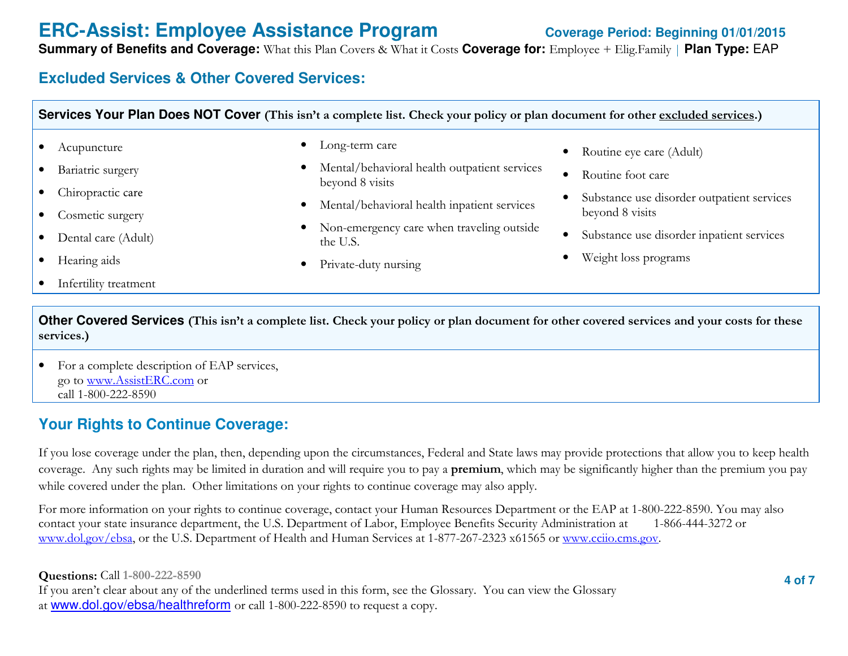**Summary of Benefits and Coverage:** What this Plan Covers & What it Costs **Coverage for:**  Employee + Elig.Family | **Plan Type:** EAP

# **Excluded Services & Other Covered Services:**

| Services Your Plan Does NOT Cover (This isn't a complete list. Check your policy or plan document for other excluded services.) |                                       |                                                                 |                                                               |
|---------------------------------------------------------------------------------------------------------------------------------|---------------------------------------|-----------------------------------------------------------------|---------------------------------------------------------------|
|                                                                                                                                 | $\bullet$<br>Acupuncture              | Long-term care                                                  | Routine eye care (Adult)<br>$\bullet$                         |
|                                                                                                                                 | Bariatric surgery                     | Mental/behavioral health outpatient services<br>beyond 8 visits | Routine foot care<br>$\bullet$                                |
|                                                                                                                                 | Chiropractic care<br>Cosmetic surgery | Mental/behavioral health inpatient services                     | Substance use disorder outpatient services<br>beyond 8 visits |
|                                                                                                                                 | Dental care (Adult)                   | Non-emergency care when traveling outside<br>the U.S.           | Substance use disorder inpatient services<br>$\bullet$        |
|                                                                                                                                 | Hearing aids                          | Private-duty nursing                                            | Weight loss programs<br>$\bullet$                             |
|                                                                                                                                 | Infertility treatment                 |                                                                 |                                                               |

**Other Covered Services** (This isn't a complete list. Check your policy or plan document for other covered services and your costs for these services.)

• For a complete description of EAP services, go to www.AssistERC.com orcall 1-800-222-8590

# **Your Rights to Continue Coverage:**

If you lose coverage under the plan, then, depending upon the circumstances, Federal and State laws may provide protections that allow you to keep health coverage. Any such rights may be limited in duration and will require you to pay a **premium**, which may be significantly higher than the premium you pay while covered under the plan. Other limitations on your rights to continue coverage may also apply.

For more information on your rights to continue coverage, contact your Human Resources Department or the EAP at 1-800-222-8590. You may also contact your state insurance department, the U.S. Department of Labor, Employee Benefits Security Administration at 1-866-444-3272 or www.dol.gov/ebsa, or the U.S. Department of Health and Human Services at 1-877-267-2323 x61565 or www.cciio.cms.gov.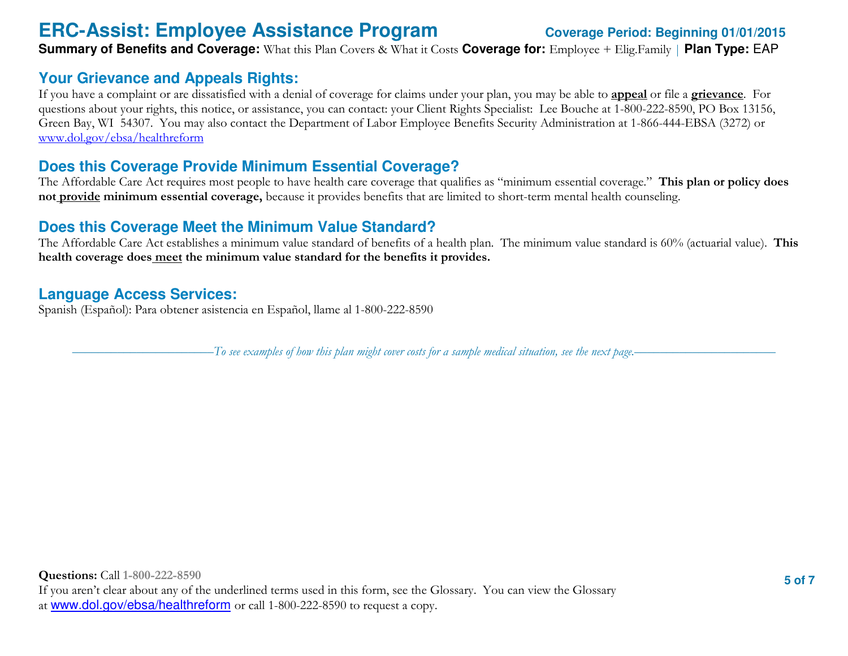**Summary of Benefits and Coverage:** What this Plan Covers & What it Costs **Coverage for:** Employee + Elig.Family | **Plan Type:** EAP

## **Your Grievance and Appeals Rights:**

If you have a complaint or are dissatisfied with a denial of coverage for claims under your plan, you may be able to **appeal** or file a **grievance**. For questions about your rights, this notice, or assistance, you can contact: your Client Rights Specialist: Lee Bouche at 1-800-222-8590, PO Box 13156, Green Bay, WI 54307. You may also contact the Department of Labor Employee Benefits Security Administration at 1-866-444-EBSA (3272) or www.dol.gov/ebsa/healthreform

### **Does this Coverage Provide Minimum Essential Coverage?**

The Affordable Care Act requires most people to have health care coverage that qualifies as "minimum essential coverage." This plan or policy does not provide minimum essential coverage, because it provides benefits that are limited to short-term mental health counseling.

# **Does this Coverage Meet the Minimum Value Standard?**

The Affordable Care Act establishes a minimum value standard of benefits of a health plan. The minimum value standard is 60% (actuarial value). **This** health coverage does meet the minimum value standard for the benefits it provides.

# **Language Access Services:**

Spanish (Español): Para obtener asistencia en Español, llame al 1-800-222-8590

-To see examples of how this plan might cover costs for a sample medical situation, see the next page.–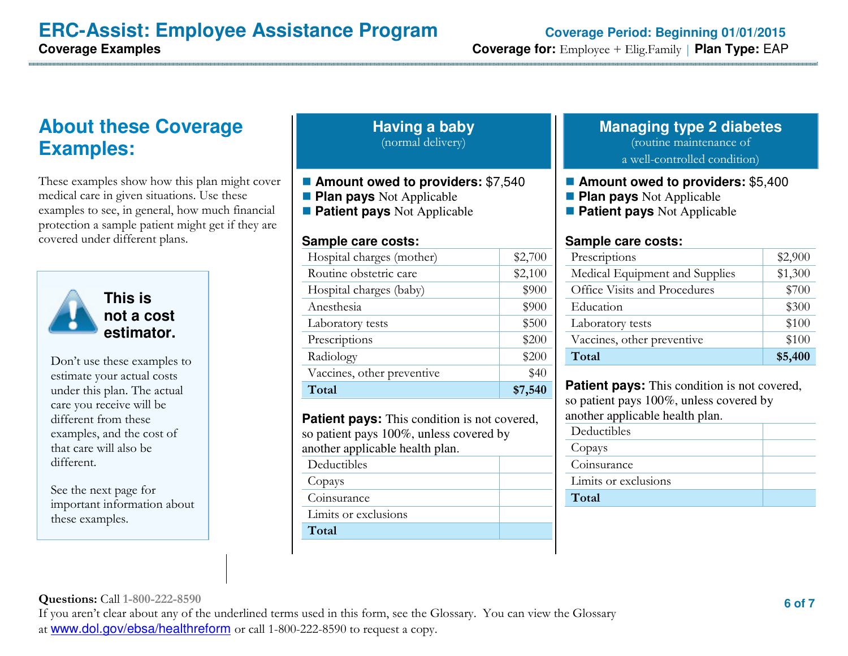**Coverage for:** Employee + Elig.Family | **Plan Type:** EAP

# **About these Coverage Examples:**

These examples show how this plan might cover medical care in given situations. Use these examples to see, in general, how much financial protection a sample patient might get if they are covered under different plans.



**This is not a cost estimator.** 

Don't use these examples to estimate your actual costs under this plan. The actual care you receive will be different from these examples, and the cost of that care will also be different.

See the next page for important information about these examples.

#### **Having a baby**(normal delivery)

- **Amount owed to providers:** \$7,540
- **Plan pays** Not Applicable
- **Patient pays** Not Applicable

#### **Sample care costs:**

| Hospital charges (mother)  | \$2,700 |
|----------------------------|---------|
| Routine obstetric care     | \$2,100 |
| Hospital charges (baby)    | \$900   |
| Anesthesia                 | \$900   |
| Laboratory tests           | \$500   |
| Prescriptions              | \$200   |
| Radiology                  | \$200   |
| Vaccines, other preventive | \$40    |
| Total                      | \$7,540 |

Patient pays: This condition is not covered, so patient pays 100%, unless covered by another applicable health plan.

| Deductibles          |
|----------------------|
| Copays               |
| Coinsurance          |
| Limits or exclusions |
|                      |

Total

## **Managing type 2 diabetes**

(routine maintenance of

a well-controlled condition)

- **Amount owed to providers:** \$5,400
- **Plan pays** Not Applicable
- **Patient pays** Not Applicable

#### **Sample care costs:**

| Prescriptions                  | \$2,900 |
|--------------------------------|---------|
| Medical Equipment and Supplies | \$1,300 |
| Office Visits and Procedures   | \$700   |
| Education                      | \$300   |
| Laboratory tests               | \$100   |
| Vaccines, other preventive     | \$100   |
| Total                          | \$5,400 |

**Patient pays:** This condition is not covered, so patient pays 100%, unless covered by another applicable health plan.

| Deductibles          |  |
|----------------------|--|
| Copays               |  |
| Coinsurance          |  |
| Limits or exclusions |  |
| Total                |  |
|                      |  |

Questions: Call 1-800-222-8590